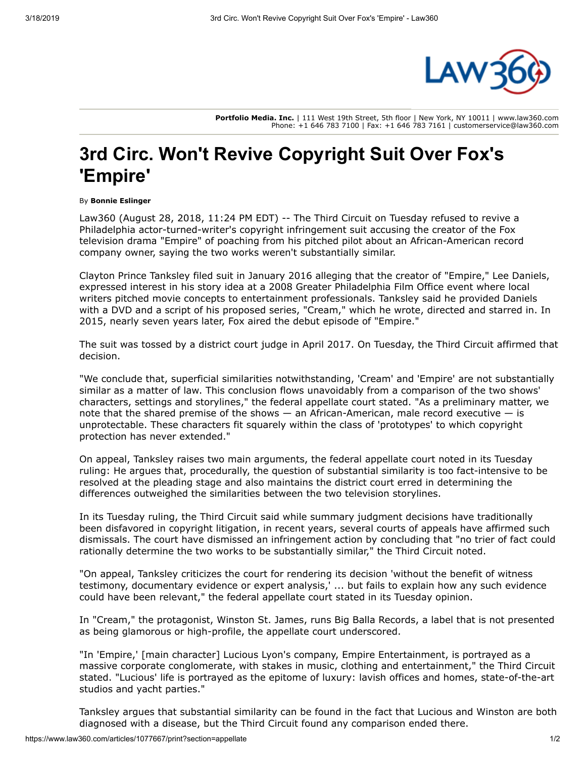

**Portfolio Media. Inc.** | 111 West 19th Street, 5th floor | New York, NY 10011 | www.law360.com Phone: +1 646 783 7100 | Fax: +1 646 783 7161 | customerservice@law360.com

## **3rd Circ. Won't Revive Copyright Suit Over Fox's 'Empire'**

## By **Bonnie Eslinger**

Law360 (August 28, 2018, 11:24 PM EDT) -- The Third Circuit on Tuesday refused to revive a Philadelphia actor-turned-writer's copyright infringement suit accusing the creator of the Fox television drama "Empire" of poaching from his pitched pilot about an African-American record company owner, saying the two works weren't substantially similar.

Clayton Prince Tanksley filed suit in January 2016 alleging that the creator of "Empire," Lee Daniels, expressed interest in his story idea at a 2008 Greater Philadelphia Film Office event where local writers pitched movie concepts to entertainment professionals. Tanksley said he provided Daniels with a DVD and a script of his proposed series, "Cream," which he wrote, directed and starred in. In 2015, nearly seven years later, Fox aired the debut episode of "Empire."

The suit was tossed by a district court judge in April 2017. On Tuesday, the Third Circuit affirmed that decision.

"We conclude that, superficial similarities notwithstanding, 'Cream' and 'Empire' are not substantially similar as a matter of law. This conclusion flows unavoidably from a comparison of the two shows' characters, settings and storylines," the federal appellate court stated. "As a preliminary matter, we note that the shared premise of the shows — an African-American, male record executive — is unprotectable. These characters fit squarely within the class of 'prototypes' to which copyright protection has never extended."

On appeal, Tanksley raises two main arguments, the federal appellate court noted in its Tuesday ruling: He argues that, procedurally, the question of substantial similarity is too fact-intensive to be resolved at the pleading stage and also maintains the district court erred in determining the differences outweighed the similarities between the two television storylines.

In its Tuesday ruling, the Third Circuit said while summary judgment decisions have traditionally been disfavored in copyright litigation, in recent years, several courts of appeals have affirmed such dismissals. The court have dismissed an infringement action by concluding that "no trier of fact could rationally determine the two works to be substantially similar," the Third Circuit noted.

"On appeal, Tanksley criticizes the court for rendering its decision 'without the benefit of witness testimony, documentary evidence or expert analysis,' ... but fails to explain how any such evidence could have been relevant," the federal appellate court stated in its Tuesday opinion.

In "Cream," the protagonist, Winston St. James, runs Big Balla Records, a label that is not presented as being glamorous or high-profile, the appellate court underscored.

"In 'Empire,' [main character] Lucious Lyon's company, Empire Entertainment, is portrayed as a massive corporate conglomerate, with stakes in music, clothing and entertainment," the Third Circuit stated. "Lucious' life is portrayed as the epitome of luxury: lavish offices and homes, state-of-the-art studios and yacht parties."

Tanksley argues that substantial similarity can be found in the fact that Lucious and Winston are both diagnosed with a disease, but the Third Circuit found any comparison ended there.